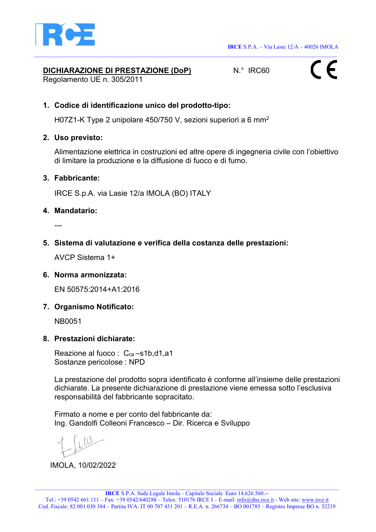

# DICHIARAZIONE DI PRESTAZIONE (DoP) N.º IRC60

Regolamento UE n. 305/2011



# 1. Codice di identificazione unico del prodotto-tipo:

H07Z1-K Type 2 unipolare 450/750 V, sezioni superiori a 6 mm<sup>2</sup>

#### 2. Uso previsto:

Alimentazione elettrica in costruzioni ed altre opere di ingegneria civile con l'obiettivo di limitare la produzione e la diffusione di fuoco e di fumo.

## 3. Fabbricante:

IRCE S.p.A. via Lasie 12/a IMOLA (BO) ITALY

#### 4. Mandatario:

---

# 5. Sistema di valutazione e verifica della costanza delle prestazioni:

AVCP Sistema 1+

#### 6. Norma armonizzata:

EN 50575:2014+A1:2016

# 7. Organismo Notificato:

NB0051

#### 8. Prestazioni dichiarate:

Reazione al fuoco : C<sub>ca</sub>-s1b,d1,a1 Sostanze pericolose : NPD

La prestazione del prodotto sopra identificato è conforme all'insieme delle prestazioni dichiarate. La presente dichiarazione di prestazione viene emessa sotto l'esclusiva responsabilità del fabbricante sopracitato.

Firmato a nome e per conto del fabbricante da: Ing. Gandolfi Colleoni Francesco – Dir. Ricerca e Sviluppo

IMOLA, 10/02/2022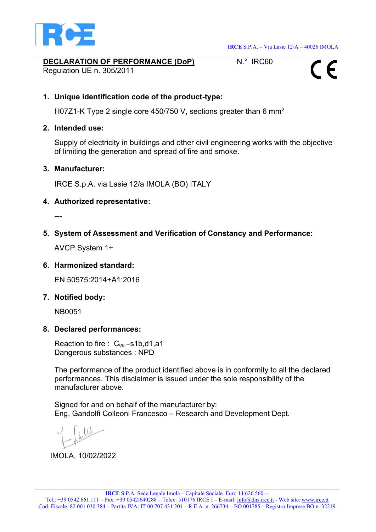

# DECLARATION OF PERFORMANCE (DoP) N.º IRC60

Regulation UE n. 305/2011



# 1. Unique identification code of the product-type:

H07Z1-K Type 2 single core 450/750 V, sections greater than 6 mm<sup>2</sup>

# 2. Intended use:

Supply of electricity in buildings and other civil engineering works with the objective of limiting the generation and spread of fire and smoke.

## 3. Manufacturer:

IRCE S.p.A. via Lasie 12/a IMOLA (BO) ITALY

## 4. Authorized representative:

---

5. System of Assessment and Verification of Constancy and Performance:

AVCP System 1+

# 6. Harmonized standard:

EN 50575:2014+A1:2016

# 7. Notified body:

NB0051

#### 8. Declared performances:

Reaction to fire : C<sub>ca</sub>-s1b,d1,a1 Dangerous substances : NPD

The performance of the product identified above is in conformity to all the declared performances. This disclaimer is issued under the sole responsibility of the manufacturer above.

Signed for and on behalf of the manufacturer by: Eng. Gandolfi Colleoni Francesco – Research and Development Dept.

IMOLA, 10/02/2022